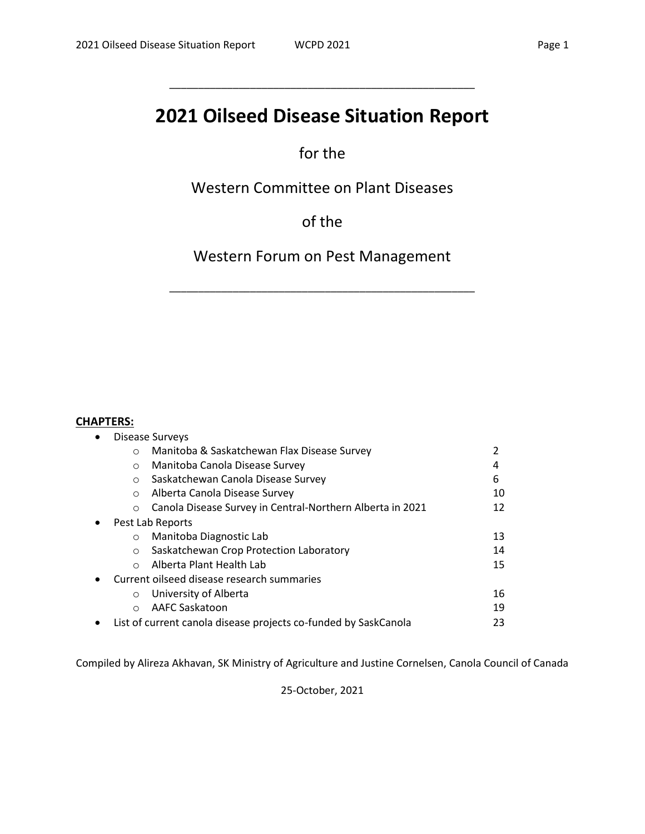# **2021 Oilseed Disease Situation Report**

\_\_\_\_\_\_\_\_\_\_\_\_\_\_\_\_\_\_\_\_\_\_\_\_\_\_\_\_\_\_\_\_\_\_\_\_\_\_\_\_\_\_\_\_\_\_\_\_\_\_\_\_\_

# for the

Western Committee on Plant Diseases

of the

Western Forum on Pest Management

\_\_\_\_\_\_\_\_\_\_\_\_\_\_\_\_\_\_\_\_\_\_\_\_\_\_\_\_\_\_\_\_\_\_\_\_\_\_\_\_\_\_\_\_\_\_\_\_\_\_\_\_\_

#### **CHAPTERS:**

| $\bullet$ |         | <b>Disease Surveys</b>                                          |    |
|-----------|---------|-----------------------------------------------------------------|----|
|           | $\circ$ | Manitoba & Saskatchewan Flax Disease Survey                     |    |
|           | $\circ$ | Manitoba Canola Disease Survey                                  | 4  |
|           | $\circ$ | Saskatchewan Canola Disease Survey                              | 6  |
|           | $\circ$ | Alberta Canola Disease Survey                                   | 10 |
|           | $\circ$ | Canola Disease Survey in Central-Northern Alberta in 2021       | 12 |
| $\bullet$ |         | Pest Lab Reports                                                |    |
|           | $\circ$ | Manitoba Diagnostic Lab                                         | 13 |
|           | $\circ$ | Saskatchewan Crop Protection Laboratory                         | 14 |
|           | $\circ$ | Alberta Plant Health Lab                                        | 15 |
| $\bullet$ |         | Current oilseed disease research summaries                      |    |
|           | $\circ$ | University of Alberta                                           | 16 |
|           | $\circ$ | AAFC Saskatoon                                                  | 19 |
| $\bullet$ |         | List of current canola disease projects co-funded by SaskCanola | 23 |

Compiled by Alireza Akhavan, SK Ministry of Agriculture and Justine Cornelsen, Canola Council of Canada

25-October, 2021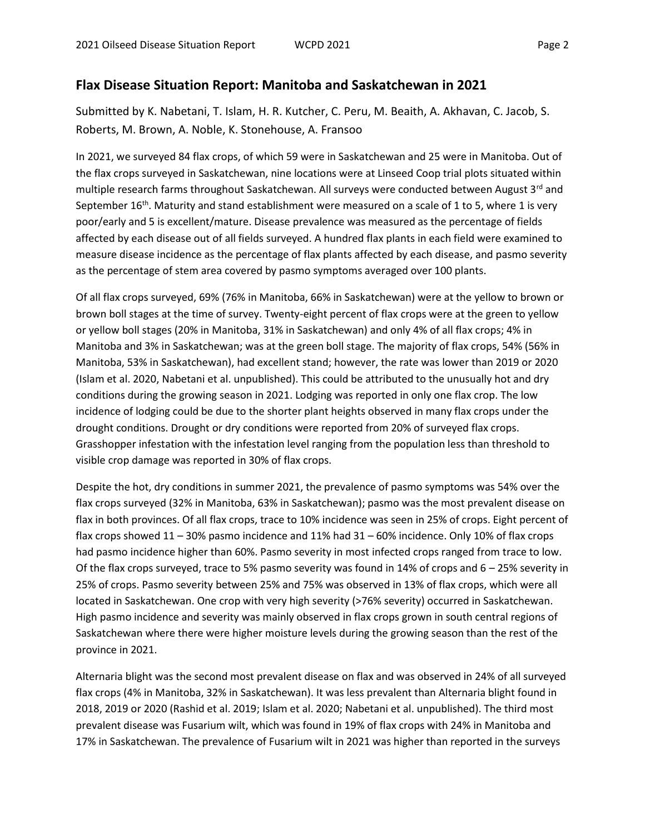#### **Flax Disease Situation Report: Manitoba and Saskatchewan in 2021**

Submitted by K. Nabetani, T. Islam, H. R. Kutcher, C. Peru, M. Beaith, A. Akhavan, C. Jacob, S. Roberts, M. Brown, A. Noble, K. Stonehouse, A. Fransoo

In 2021, we surveyed 84 flax crops, of which 59 were in Saskatchewan and 25 were in Manitoba. Out of the flax crops surveyed in Saskatchewan, nine locations were at Linseed Coop trial plots situated within multiple research farms throughout Saskatchewan. All surveys were conducted between August 3<sup>rd</sup> and September 16<sup>th</sup>. Maturity and stand establishment were measured on a scale of 1 to 5, where 1 is very poor/early and 5 is excellent/mature. Disease prevalence was measured as the percentage of fields affected by each disease out of all fields surveyed. A hundred flax plants in each field were examined to measure disease incidence as the percentage of flax plants affected by each disease, and pasmo severity as the percentage of stem area covered by pasmo symptoms averaged over 100 plants.

Of all flax crops surveyed, 69% (76% in Manitoba, 66% in Saskatchewan) were at the yellow to brown or brown boll stages at the time of survey. Twenty-eight percent of flax crops were at the green to yellow or yellow boll stages (20% in Manitoba, 31% in Saskatchewan) and only 4% of all flax crops; 4% in Manitoba and 3% in Saskatchewan; was at the green boll stage. The majority of flax crops, 54% (56% in Manitoba, 53% in Saskatchewan), had excellent stand; however, the rate was lower than 2019 or 2020 (Islam et al. 2020, Nabetani et al. unpublished). This could be attributed to the unusually hot and dry conditions during the growing season in 2021. Lodging was reported in only one flax crop. The low incidence of lodging could be due to the shorter plant heights observed in many flax crops under the drought conditions. Drought or dry conditions were reported from 20% of surveyed flax crops. Grasshopper infestation with the infestation level ranging from the population less than threshold to visible crop damage was reported in 30% of flax crops.

Despite the hot, dry conditions in summer 2021, the prevalence of pasmo symptoms was 54% over the flax crops surveyed (32% in Manitoba, 63% in Saskatchewan); pasmo was the most prevalent disease on flax in both provinces. Of all flax crops, trace to 10% incidence was seen in 25% of crops. Eight percent of flax crops showed 11 – 30% pasmo incidence and 11% had 31 – 60% incidence. Only 10% of flax crops had pasmo incidence higher than 60%. Pasmo severity in most infected crops ranged from trace to low. Of the flax crops surveyed, trace to 5% pasmo severity was found in 14% of crops and 6 – 25% severity in 25% of crops. Pasmo severity between 25% and 75% was observed in 13% of flax crops, which were all located in Saskatchewan. One crop with very high severity (>76% severity) occurred in Saskatchewan. High pasmo incidence and severity was mainly observed in flax crops grown in south central regions of Saskatchewan where there were higher moisture levels during the growing season than the rest of the province in 2021.

Alternaria blight was the second most prevalent disease on flax and was observed in 24% of all surveyed flax crops (4% in Manitoba, 32% in Saskatchewan). It was less prevalent than Alternaria blight found in 2018, 2019 or 2020 (Rashid et al. 2019; Islam et al. 2020; Nabetani et al. unpublished). The third most prevalent disease was Fusarium wilt, which was found in 19% of flax crops with 24% in Manitoba and 17% in Saskatchewan. The prevalence of Fusarium wilt in 2021 was higher than reported in the surveys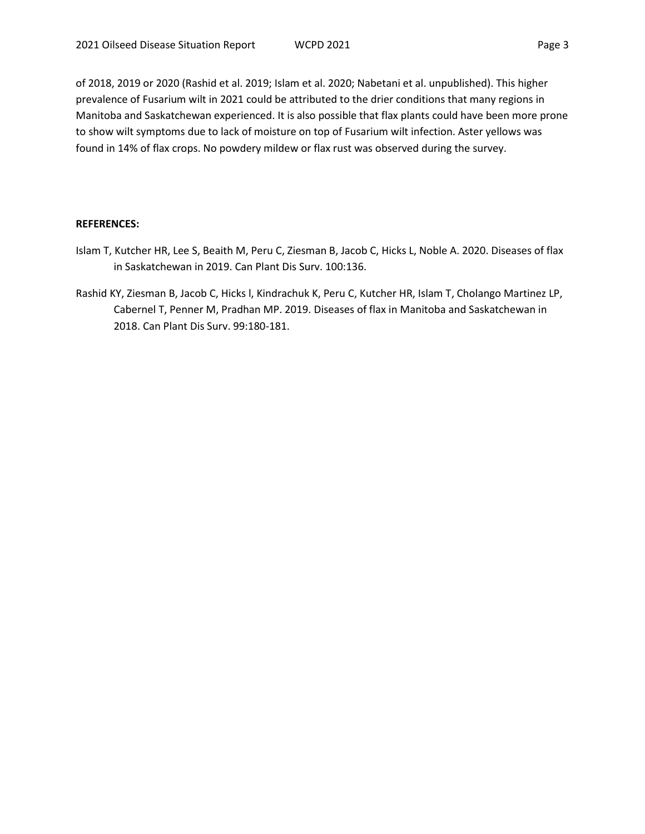of 2018, 2019 or 2020 (Rashid et al. 2019; Islam et al. 2020; Nabetani et al. unpublished). This higher prevalence of Fusarium wilt in 2021 could be attributed to the drier conditions that many regions in Manitoba and Saskatchewan experienced. It is also possible that flax plants could have been more prone to show wilt symptoms due to lack of moisture on top of Fusarium wilt infection. Aster yellows was found in 14% of flax crops. No powdery mildew or flax rust was observed during the survey.

#### **REFERENCES:**

- Islam T, Kutcher HR, Lee S, Beaith M, Peru C, Ziesman B, Jacob C, Hicks L, Noble A. 2020. Diseases of flax in Saskatchewan in 2019. Can Plant Dis Surv. 100:136.
- Rashid KY, Ziesman B, Jacob C, Hicks l, Kindrachuk K, Peru C, Kutcher HR, Islam T, Cholango Martinez LP, Cabernel T, Penner M, Pradhan MP. 2019. Diseases of flax in Manitoba and Saskatchewan in 2018. Can Plant Dis Surv. 99:180-181.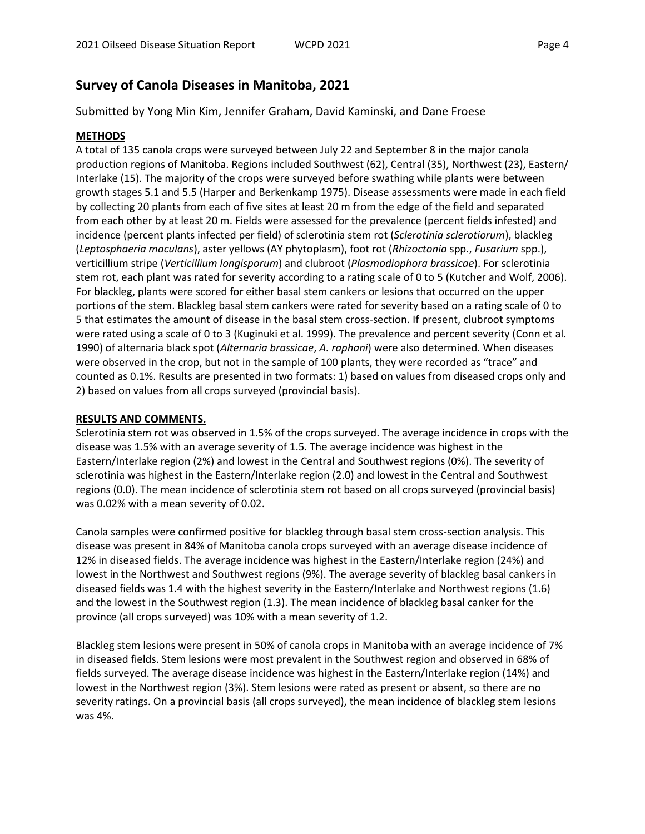### **Survey of Canola Diseases in Manitoba, 2021**

Submitted by Yong Min Kim, Jennifer Graham, David Kaminski, and Dane Froese

#### **METHODS**

A total of 135 canola crops were surveyed between July 22 and September 8 in the major canola production regions of Manitoba. Regions included Southwest (62), Central (35), Northwest (23), Eastern/ Interlake (15). The majority of the crops were surveyed before swathing while plants were between growth stages 5.1 and 5.5 (Harper and Berkenkamp 1975). Disease assessments were made in each field by collecting 20 plants from each of five sites at least 20 m from the edge of the field and separated from each other by at least 20 m. Fields were assessed for the prevalence (percent fields infested) and incidence (percent plants infected per field) of sclerotinia stem rot (*Sclerotinia sclerotiorum*), blackleg (*Leptosphaeria maculans*), aster yellows (AY phytoplasm), foot rot (*Rhizoctonia* spp., *Fusarium* spp.), verticillium stripe (*Verticillium longisporum*) and clubroot (*Plasmodiophora brassicae*). For sclerotinia stem rot, each plant was rated for severity according to a rating scale of 0 to 5 (Kutcher and Wolf, 2006). For blackleg, plants were scored for either basal stem cankers or lesions that occurred on the upper portions of the stem. Blackleg basal stem cankers were rated for severity based on a rating scale of 0 to 5 that estimates the amount of disease in the basal stem cross-section. If present, clubroot symptoms were rated using a scale of 0 to 3 (Kuginuki et al. 1999). The prevalence and percent severity (Conn et al. 1990) of alternaria black spot (*Alternaria brassicae*, *A. raphani*) were also determined. When diseases were observed in the crop, but not in the sample of 100 plants, they were recorded as "trace" and counted as 0.1%. Results are presented in two formats: 1) based on values from diseased crops only and 2) based on values from all crops surveyed (provincial basis).

#### **RESULTS AND COMMENTS.**

Sclerotinia stem rot was observed in 1.5% of the crops surveyed. The average incidence in crops with the disease was 1.5% with an average severity of 1.5. The average incidence was highest in the Eastern/Interlake region (2%) and lowest in the Central and Southwest regions (0%). The severity of sclerotinia was highest in the Eastern/Interlake region (2.0) and lowest in the Central and Southwest regions (0.0). The mean incidence of sclerotinia stem rot based on all crops surveyed (provincial basis) was 0.02% with a mean severity of 0.02.

Canola samples were confirmed positive for blackleg through basal stem cross-section analysis. This disease was present in 84% of Manitoba canola crops surveyed with an average disease incidence of 12% in diseased fields. The average incidence was highest in the Eastern/Interlake region (24%) and lowest in the Northwest and Southwest regions (9%). The average severity of blackleg basal cankers in diseased fields was 1.4 with the highest severity in the Eastern/Interlake and Northwest regions (1.6) and the lowest in the Southwest region (1.3). The mean incidence of blackleg basal canker for the province (all crops surveyed) was 10% with a mean severity of 1.2.

Blackleg stem lesions were present in 50% of canola crops in Manitoba with an average incidence of 7% in diseased fields. Stem lesions were most prevalent in the Southwest region and observed in 68% of fields surveyed. The average disease incidence was highest in the Eastern/Interlake region (14%) and lowest in the Northwest region (3%). Stem lesions were rated as present or absent, so there are no severity ratings. On a provincial basis (all crops surveyed), the mean incidence of blackleg stem lesions was 4%.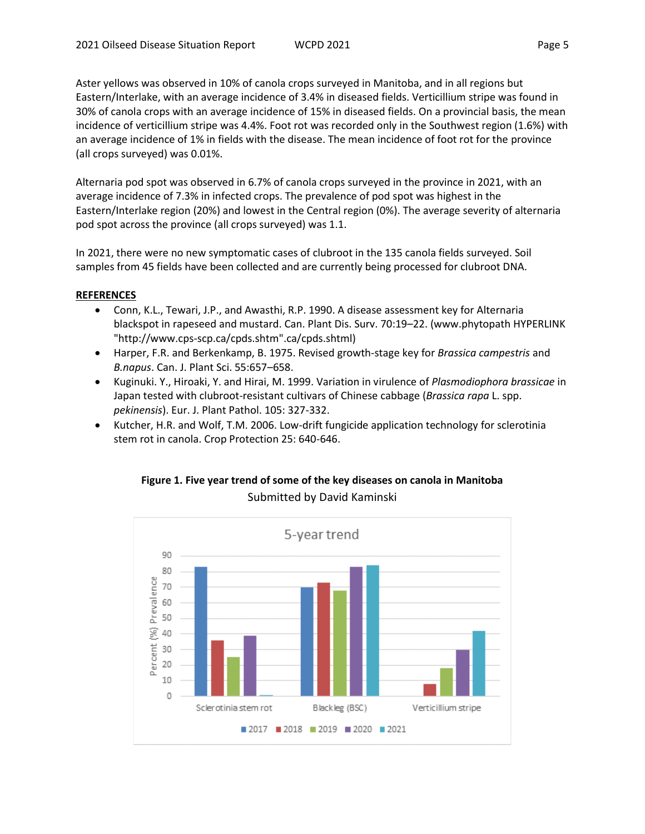Aster yellows was observed in 10% of canola crops surveyed in Manitoba, and in all regions but Eastern/Interlake, with an average incidence of 3.4% in diseased fields. Verticillium stripe was found in 30% of canola crops with an average incidence of 15% in diseased fields. On a provincial basis, the mean incidence of verticillium stripe was 4.4%. Foot rot was recorded only in the Southwest region (1.6%) with an average incidence of 1% in fields with the disease. The mean incidence of foot rot for the province (all crops surveyed) was 0.01%.

Alternaria pod spot was observed in 6.7% of canola crops surveyed in the province in 2021, with an average incidence of 7.3% in infected crops. The prevalence of pod spot was highest in the Eastern/Interlake region (20%) and lowest in the Central region (0%). The average severity of alternaria pod spot across the province (all crops surveyed) was 1.1.

In 2021, there were no new symptomatic cases of clubroot in the 135 canola fields surveyed. Soil samples from 45 fields have been collected and are currently being processed for clubroot DNA.

#### **REFERENCES**

- Conn, K.L., Tewari, J.P., and Awasthi, R.P. 1990. A disease assessment key for Alternaria blackspot in rapeseed and mustard. Can. Plant Dis. Surv. 70:19–22. (www.phytopath HYPERLINK "http://www.cps-scp.ca/cpds.shtm".ca/cpds.shtml)
- Harper, F.R. and Berkenkamp, B. 1975. Revised growth-stage key for *Brassica campestris* and *B.napus*. Can. J. Plant Sci. 55:657–658.
- Kuginuki. Y., Hiroaki, Y. and Hirai, M. 1999. Variation in virulence of *Plasmodiophora brassicae* in Japan tested with clubroot-resistant cultivars of Chinese cabbage (*Brassica rapa* L. spp. *pekinensis*). Eur. J. Plant Pathol. 105: 327-332.
- Kutcher, H.R. and Wolf, T.M. 2006. Low-drift fungicide application technology for sclerotinia stem rot in canola. Crop Protection 25: 640-646.



### **Figure 1. Five year trend of some of the key diseases on canola in Manitoba** Submitted by David Kaminski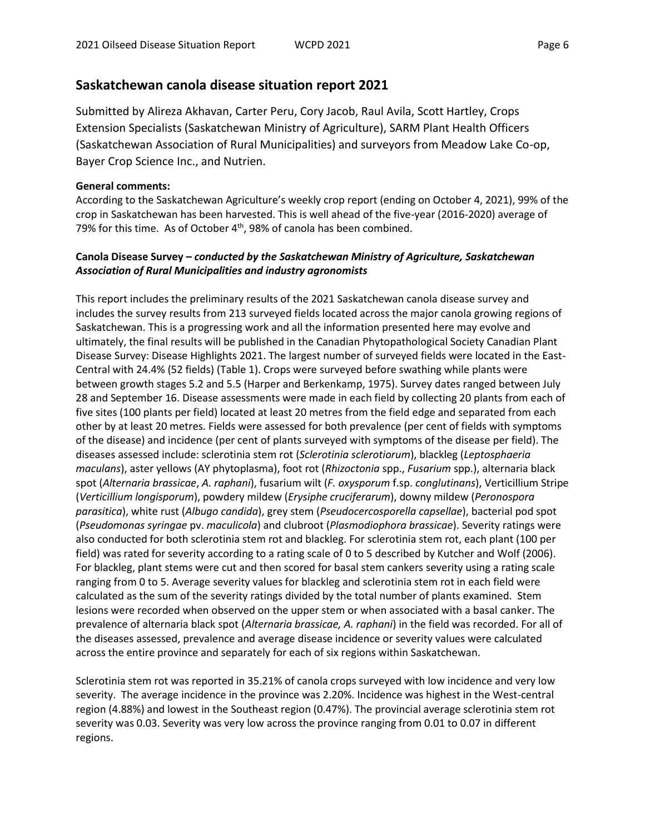#### **Saskatchewan canola disease situation report 2021**

Submitted by Alireza Akhavan, Carter Peru, Cory Jacob, Raul Avila, Scott Hartley, Crops Extension Specialists (Saskatchewan Ministry of Agriculture), SARM Plant Health Officers (Saskatchewan Association of Rural Municipalities) and surveyors from Meadow Lake Co-op, Bayer Crop Science Inc., and Nutrien.

#### **General comments:**

According to the Saskatchewan Agriculture's weekly crop report (ending on October 4, 2021), 99% of the crop in Saskatchewan has been harvested. This is well ahead of the five-year (2016-2020) average of 79% for this time. As of October  $4<sup>th</sup>$ , 98% of canola has been combined.

#### **Canola Disease Survey –** *conducted by the Saskatchewan Ministry of Agriculture, Saskatchewan Association of Rural Municipalities and industry agronomists*

This report includes the preliminary results of the 2021 Saskatchewan canola disease survey and includes the survey results from 213 surveyed fields located across the major canola growing regions of Saskatchewan. This is a progressing work and all the information presented here may evolve and ultimately, the final results will be published in the Canadian Phytopathological Society Canadian Plant Disease Survey: Disease Highlights 2021. The largest number of surveyed fields were located in the East-Central with 24.4% (52 fields) (Table 1). Crops were surveyed before swathing while plants were between growth stages 5.2 and 5.5 (Harper and Berkenkamp, 1975). Survey dates ranged between July 28 and September 16. Disease assessments were made in each field by collecting 20 plants from each of five sites (100 plants per field) located at least 20 metres from the field edge and separated from each other by at least 20 metres. Fields were assessed for both prevalence (per cent of fields with symptoms of the disease) and incidence (per cent of plants surveyed with symptoms of the disease per field). The diseases assessed include: sclerotinia stem rot (*Sclerotinia sclerotiorum*), blackleg (*Leptosphaeria maculans*), aster yellows (AY phytoplasma), foot rot (*Rhizoctonia* spp., *Fusarium* spp.), alternaria black spot (*Alternaria brassicae*, *A. raphani*), fusarium wilt (*F. oxysporum* f.sp. *conglutinans*), Verticillium Stripe (*Verticillium longisporum*), powdery mildew (*Erysiphe cruciferarum*), downy mildew (*Peronospora parasitica*), white rust (*Albugo candida*), grey stem (*Pseudocercosporella capsellae*), bacterial pod spot (*Pseudomonas syringae* pv. *maculicola*) and clubroot (*Plasmodiophora brassicae*). Severity ratings were also conducted for both sclerotinia stem rot and blackleg. For sclerotinia stem rot, each plant (100 per field) was rated for severity according to a rating scale of 0 to 5 described by Kutcher and Wolf (2006). For blackleg, plant stems were cut and then scored for basal stem cankers severity using a rating scale ranging from 0 to 5. Average severity values for blackleg and sclerotinia stem rot in each field were calculated as the sum of the severity ratings divided by the total number of plants examined. Stem lesions were recorded when observed on the upper stem or when associated with a basal canker. The prevalence of alternaria black spot (*Alternaria brassicae, A. raphani*) in the field was recorded. For all of the diseases assessed, prevalence and average disease incidence or severity values were calculated across the entire province and separately for each of six regions within Saskatchewan.

Sclerotinia stem rot was reported in 35.21% of canola crops surveyed with low incidence and very low severity. The average incidence in the province was 2.20%. Incidence was highest in the West-central region (4.88%) and lowest in the Southeast region (0.47%). The provincial average sclerotinia stem rot severity was 0.03. Severity was very low across the province ranging from 0.01 to 0.07 in different regions.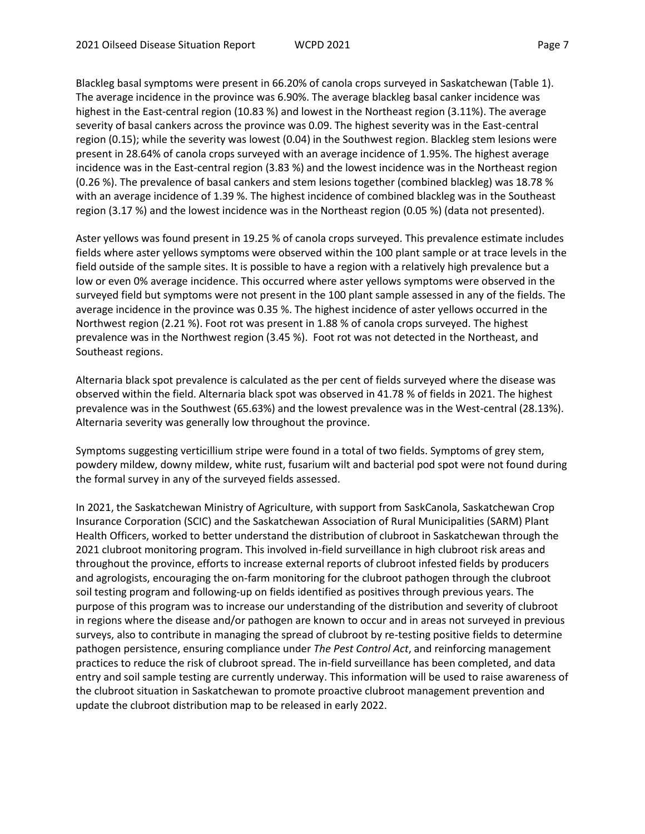Blackleg basal symptoms were present in 66.20% of canola crops surveyed in Saskatchewan (Table 1). The average incidence in the province was 6.90%. The average blackleg basal canker incidence was highest in the East-central region (10.83 %) and lowest in the Northeast region (3.11%). The average severity of basal cankers across the province was 0.09. The highest severity was in the East-central region (0.15); while the severity was lowest (0.04) in the Southwest region. Blackleg stem lesions were present in 28.64% of canola crops surveyed with an average incidence of 1.95%. The highest average incidence was in the East-central region (3.83 %) and the lowest incidence was in the Northeast region (0.26 %). The prevalence of basal cankers and stem lesions together (combined blackleg) was 18.78 % with an average incidence of 1.39 %. The highest incidence of combined blackleg was in the Southeast region (3.17 %) and the lowest incidence was in the Northeast region (0.05 %) (data not presented).

Aster yellows was found present in 19.25 % of canola crops surveyed. This prevalence estimate includes fields where aster yellows symptoms were observed within the 100 plant sample or at trace levels in the field outside of the sample sites. It is possible to have a region with a relatively high prevalence but a low or even 0% average incidence. This occurred where aster yellows symptoms were observed in the surveyed field but symptoms were not present in the 100 plant sample assessed in any of the fields. The average incidence in the province was 0.35 %. The highest incidence of aster yellows occurred in the Northwest region (2.21 %). Foot rot was present in 1.88 % of canola crops surveyed. The highest prevalence was in the Northwest region (3.45 %). Foot rot was not detected in the Northeast, and Southeast regions.

Alternaria black spot prevalence is calculated as the per cent of fields surveyed where the disease was observed within the field. Alternaria black spot was observed in 41.78 % of fields in 2021. The highest prevalence was in the Southwest (65.63%) and the lowest prevalence was in the West-central (28.13%). Alternaria severity was generally low throughout the province.

Symptoms suggesting verticillium stripe were found in a total of two fields. Symptoms of grey stem, powdery mildew, downy mildew, white rust, fusarium wilt and bacterial pod spot were not found during the formal survey in any of the surveyed fields assessed.

In 2021, the Saskatchewan Ministry of Agriculture, with support from SaskCanola, Saskatchewan Crop Insurance Corporation (SCIC) and the Saskatchewan Association of Rural Municipalities (SARM) Plant Health Officers, worked to better understand the distribution of clubroot in Saskatchewan through the 2021 clubroot monitoring program. This involved in-field surveillance in high clubroot risk areas and throughout the province, efforts to increase external reports of clubroot infested fields by producers and agrologists, encouraging the on-farm monitoring for the clubroot pathogen through the clubroot soil testing program and following-up on fields identified as positives through previous years. The purpose of this program was to increase our understanding of the distribution and severity of clubroot in regions where the disease and/or pathogen are known to occur and in areas not surveyed in previous surveys, also to contribute in managing the spread of clubroot by re-testing positive fields to determine pathogen persistence, ensuring compliance under *The Pest Control Act*, and reinforcing management practices to reduce the risk of clubroot spread. The in-field surveillance has been completed, and data entry and soil sample testing are currently underway. This information will be used to raise awareness of the clubroot situation in Saskatchewan to promote proactive clubroot management prevention and update the clubroot distribution map to be released in early 2022.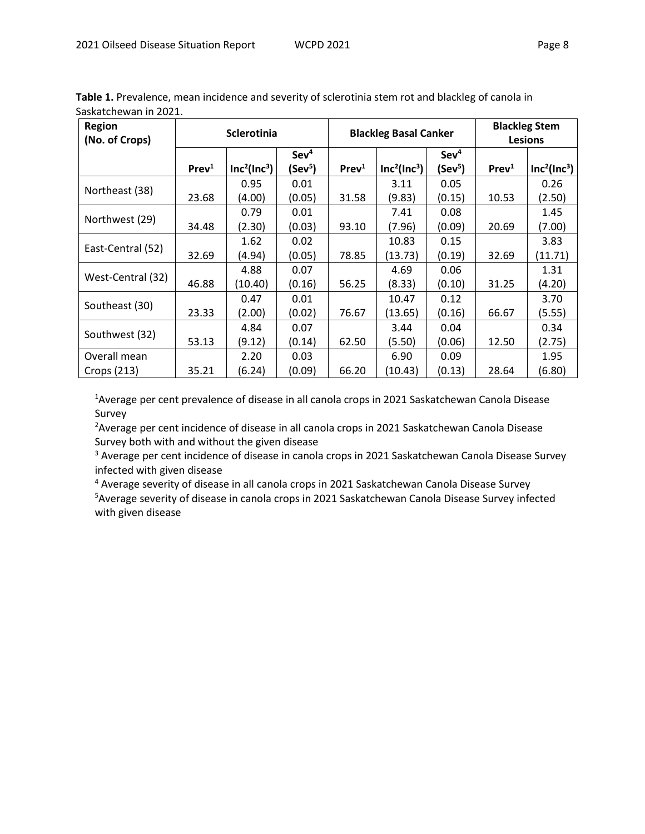| <b>Region</b><br>(No. of Crops) |                   | Sclerotinia                          |                     | <b>Blackleg Stem</b><br><b>Blackleg Basal Canker</b><br><b>Lesions</b> |                                      |                     |                   |                                      |
|---------------------------------|-------------------|--------------------------------------|---------------------|------------------------------------------------------------------------|--------------------------------------|---------------------|-------------------|--------------------------------------|
|                                 |                   |                                      | Sev <sup>4</sup>    |                                                                        |                                      | Sev <sup>4</sup>    |                   |                                      |
|                                 | Prev <sup>1</sup> | Inc <sup>2</sup> (Inc <sup>3</sup> ) | (Sev <sup>5</sup> ) | Prev <sup>1</sup>                                                      | Inc <sup>2</sup> (Inc <sup>3</sup> ) | (Sev <sup>5</sup> ) | Prev <sup>1</sup> | Inc <sup>2</sup> (Inc <sup>3</sup> ) |
|                                 |                   | 0.95                                 | 0.01                |                                                                        | 3.11                                 | 0.05                |                   | 0.26                                 |
| Northeast (38)                  | 23.68             | (4.00)                               | (0.05)              | 31.58                                                                  | (9.83)                               | (0.15)              | 10.53             | (2.50)                               |
| Northwest (29)                  |                   | 0.79                                 | 0.01                |                                                                        | 7.41                                 | 0.08                |                   | 1.45                                 |
|                                 | 34.48             | (2.30)                               | (0.03)              | 93.10                                                                  | (7.96)                               | (0.09)              | 20.69             | (7.00)                               |
| East-Central (52)               |                   | 1.62                                 | 0.02                |                                                                        | 10.83                                | 0.15                |                   | 3.83                                 |
|                                 | 32.69             | (4.94)                               | (0.05)              | 78.85                                                                  | (13.73)                              | (0.19)              | 32.69             | (11.71)                              |
| West-Central (32)               |                   | 4.88                                 | 0.07                |                                                                        | 4.69                                 | 0.06                |                   | 1.31                                 |
|                                 | 46.88             | (10.40)                              | (0.16)              | 56.25                                                                  | (8.33)                               | (0.10)              | 31.25             | (4.20)                               |
|                                 |                   | 0.47                                 | 0.01                |                                                                        | 10.47                                | 0.12                |                   | 3.70                                 |
| Southeast (30)                  | 23.33             | (2.00)                               | (0.02)              | 76.67                                                                  | (13.65)                              | (0.16)              | 66.67             | (5.55)                               |
|                                 |                   | 4.84                                 | 0.07                |                                                                        | 3.44                                 | 0.04                |                   | 0.34                                 |
| Southwest (32)                  | 53.13             | (9.12)                               | (0.14)              | 62.50                                                                  | (5.50)                               | (0.06)              | 12.50             | (2.75)<br>1.95<br>(6.80)             |
| Overall mean                    |                   | 2.20                                 | 0.03                |                                                                        | 6.90                                 | 0.09                |                   |                                      |
| Crops (213)                     | 35.21             | (6.24)                               | (0.09)              | 66.20                                                                  | (10.43)                              | (0.13)              | 28.64             |                                      |

**Table 1.** Prevalence, mean incidence and severity of sclerotinia stem rot and blackleg of canola in Saskatchewan in 2021.

<sup>1</sup> Average per cent prevalence of disease in all canola crops in 2021 Saskatchewan Canola Disease Survey

<sup>2</sup> Average per cent incidence of disease in all canola crops in 2021 Saskatchewan Canola Disease Survey both with and without the given disease

<sup>3</sup> Average per cent incidence of disease in canola crops in 2021 Saskatchewan Canola Disease Survey infected with given disease

<sup>4</sup> Average severity of disease in all canola crops in 2021 Saskatchewan Canola Disease Survey <sup>5</sup> Average severity of disease in canola crops in 2021 Saskatchewan Canola Disease Survey infected with given disease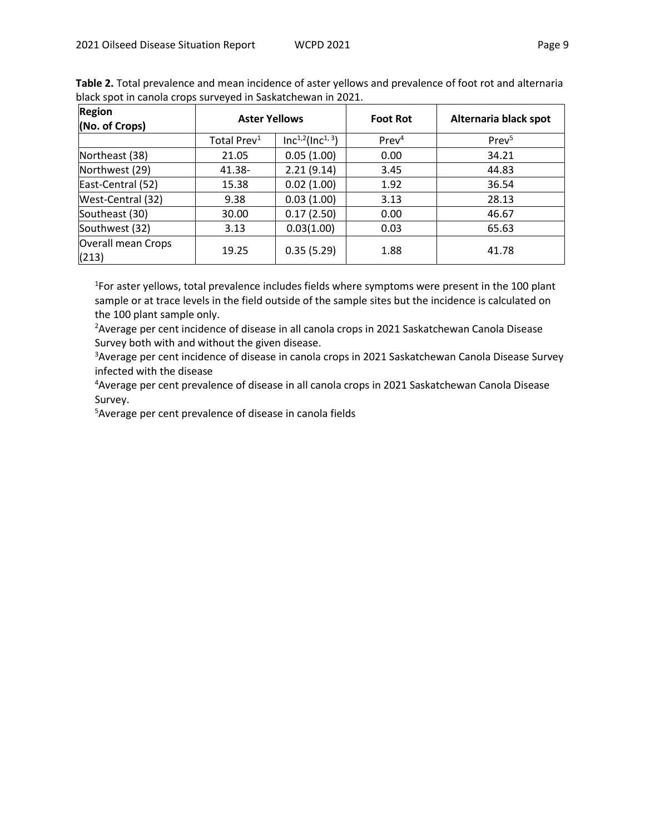| Region<br>(No. of Crops)    | <b>Aster Yellows</b>    |                        | <b>Foot Rot</b>   | Alternaria black spot |
|-----------------------------|-------------------------|------------------------|-------------------|-----------------------|
|                             | Total Prev <sup>1</sup> | $Inc^{1,2}(Inc^{1,3})$ | Prev <sup>4</sup> | Prev <sup>5</sup>     |
| Northeast (38)              | 21.05                   | 0.05(1.00)             | 0.00              | 34.21                 |
| Northwest (29)              | 41.38-                  | 2.21(9.14)             | 3.45              | 44.83                 |
| East-Central (52)           | 15.38                   | 0.02(1.00)             | 1.92              | 36.54                 |
| West-Central (32)           | 9.38                    | 0.03(1.00)             | 3.13              | 28.13                 |
| Southeast (30)              | 30.00                   | 0.17(2.50)             | 0.00              | 46.67                 |
| Southwest (32)              | 3.13                    | 0.03(1.00)             | 0.03              | 65.63                 |
| Overall mean Crops<br>(213) | 19.25                   | 0.35(5.29)             | 1.88              | 41.78                 |

**Table 2.** Total prevalence and mean incidence of aster yellows and prevalence of foot rot and alternaria black spot in canola crops surveyed in Saskatchewan in 2021.

<sup>1</sup>For aster yellows, total prevalence includes fields where symptoms were present in the 100 plant sample or at trace levels in the field outside of the sample sites but the incidence is calculated on the 100 plant sample only.

<sup>2</sup> Average per cent incidence of disease in all canola crops in 2021 Saskatchewan Canola Disease Survey both with and without the given disease.

<sup>3</sup> Average per cent incidence of disease in canola crops in 2021 Saskatchewan Canola Disease Survey infected with the disease

<sup>4</sup> Average per cent prevalence of disease in all canola crops in 2021 Saskatchewan Canola Disease Survey.

5Average per cent prevalence of disease in canola fields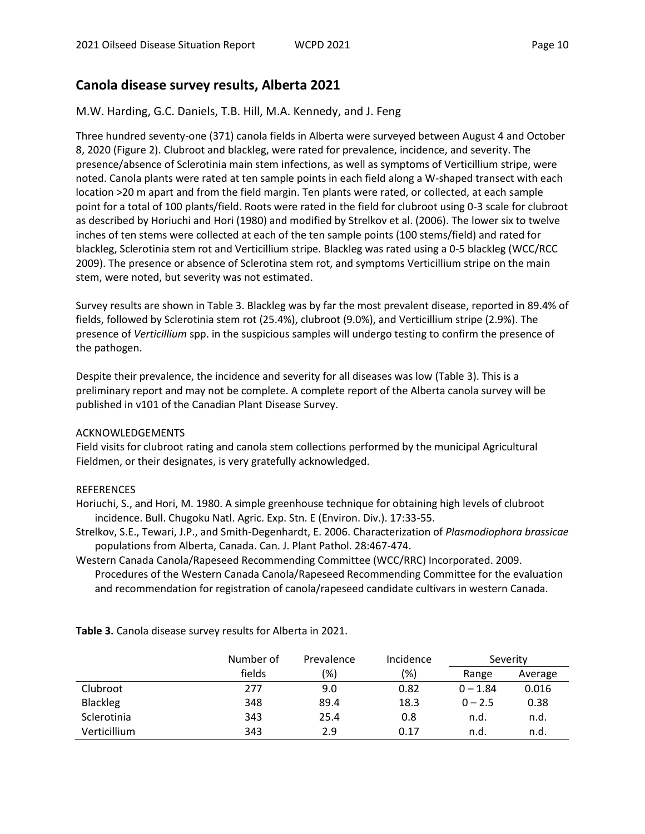# **Canola disease survey results, Alberta 2021**

#### M.W. Harding, G.C. Daniels, T.B. Hill, M.A. Kennedy, and J. Feng

Three hundred seventy-one (371) canola fields in Alberta were surveyed between August 4 and October 8, 2020 (Figure 2). Clubroot and blackleg, were rated for prevalence, incidence, and severity. The presence/absence of Sclerotinia main stem infections, as well as symptoms of Verticillium stripe, were noted. Canola plants were rated at ten sample points in each field along a W-shaped transect with each location >20 m apart and from the field margin. Ten plants were rated, or collected, at each sample point for a total of 100 plants/field. Roots were rated in the field for clubroot using 0-3 scale for clubroot as described by Horiuchi and Hori (1980) and modified by Strelkov et al. (2006). The lower six to twelve inches of ten stems were collected at each of the ten sample points (100 stems/field) and rated for blackleg, Sclerotinia stem rot and Verticillium stripe. Blackleg was rated using a 0-5 blackleg (WCC/RCC 2009). The presence or absence of Sclerotina stem rot, and symptoms Verticillium stripe on the main stem, were noted, but severity was not estimated.

Survey results are shown in Table 3. Blackleg was by far the most prevalent disease, reported in 89.4% of fields, followed by Sclerotinia stem rot (25.4%), clubroot (9.0%), and Verticillium stripe (2.9%). The presence of *Verticillium* spp. in the suspicious samples will undergo testing to confirm the presence of the pathogen.

Despite their prevalence, the incidence and severity for all diseases was low (Table 3). This is a preliminary report and may not be complete. A complete report of the Alberta canola survey will be published in v101 of the Canadian Plant Disease Survey.

#### ACKNOWLEDGEMENTS

Field visits for clubroot rating and canola stem collections performed by the municipal Agricultural Fieldmen, or their designates, is very gratefully acknowledged.

#### REFERENCES

Horiuchi, S., and Hori, M. 1980. A simple greenhouse technique for obtaining high levels of clubroot incidence. Bull. Chugoku Natl. Agric. Exp. Stn. E (Environ. Div.). 17:33-55.

- Strelkov, S.E., Tewari, J.P., and Smith-Degenhardt, E. 2006. Characterization of *Plasmodiophora brassicae* populations from Alberta, Canada. Can. J. Plant Pathol. 28:467-474.
- Western Canada Canola/Rapeseed Recommending Committee (WCC/RRC) Incorporated. 2009. Procedures of the Western Canada Canola/Rapeseed Recommending Committee for the evaluation and recommendation for registration of canola/rapeseed candidate cultivars in western Canada.

|                 | Number of | Prevalence | Incidence |            | Severity |
|-----------------|-----------|------------|-----------|------------|----------|
|                 | fields    | (% )       | $(\%)$    | Range      | Average  |
| Clubroot        | 277       | 9.0        | 0.82      | $0 - 1.84$ | 0.016    |
| <b>Blackleg</b> | 348       | 89.4       | 18.3      | $0 - 2.5$  | 0.38     |
| Sclerotinia     | 343       | 25.4       | 0.8       | n.d.       | n.d.     |
| Verticillium    | 343       | 2.9        | 0.17      | n.d.       | n.d.     |

**Table 3.** Canola disease survey results for Alberta in 2021.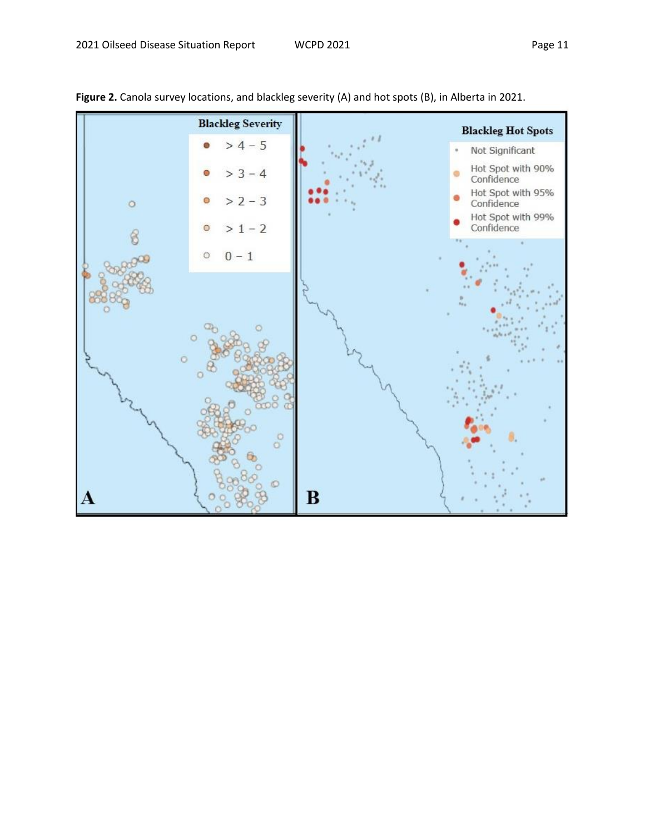



Figure 2. Canola survey locations, and blackleg severity (A) and hot spots (B), in Alberta in 2021.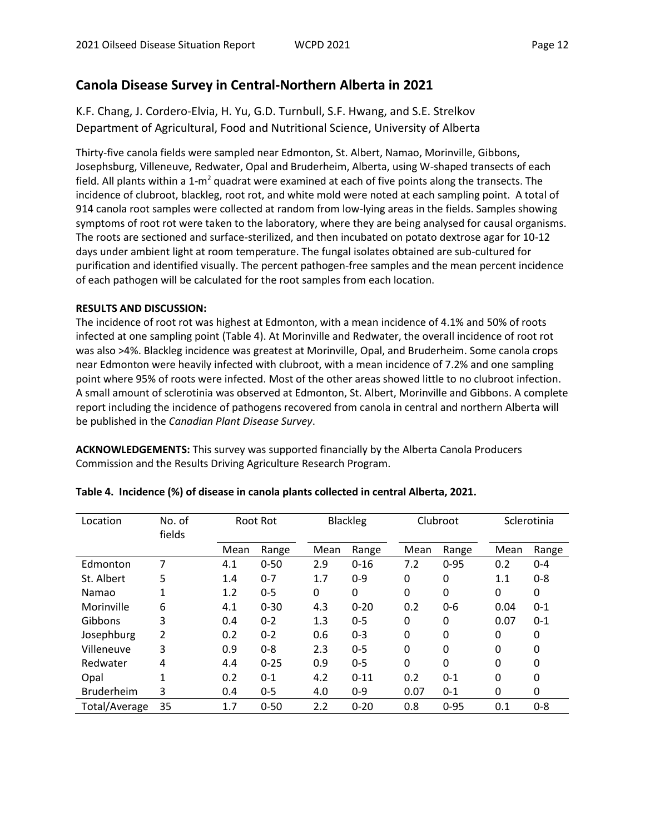# **Canola Disease Survey in Central-Northern Alberta in 2021**

K.F. Chang, J. Cordero-Elvia, H. Yu, G.D. Turnbull, S.F. Hwang, and S.E. Strelkov Department of Agricultural, Food and Nutritional Science, University of Alberta

Thirty-five canola fields were sampled near Edmonton, St. Albert, Namao, Morinville, Gibbons, Josephsburg, Villeneuve, Redwater, Opal and Bruderheim, Alberta, using W-shaped transects of each field. All plants within a 1-m<sup>2</sup> quadrat were examined at each of five points along the transects. The incidence of clubroot, blackleg, root rot, and white mold were noted at each sampling point. A total of 914 canola root samples were collected at random from low-lying areas in the fields. Samples showing symptoms of root rot were taken to the laboratory, where they are being analysed for causal organisms. The roots are sectioned and surface-sterilized, and then incubated on potato dextrose agar for 10-12 days under ambient light at room temperature. The fungal isolates obtained are sub-cultured for purification and identified visually. The percent pathogen-free samples and the mean percent incidence of each pathogen will be calculated for the root samples from each location.

#### **RESULTS AND DISCUSSION:**

The incidence of root rot was highest at Edmonton, with a mean incidence of 4.1% and 50% of roots infected at one sampling point (Table 4). At Morinville and Redwater, the overall incidence of root rot was also >4%. Blackleg incidence was greatest at Morinville, Opal, and Bruderheim. Some canola crops near Edmonton were heavily infected with clubroot, with a mean incidence of 7.2% and one sampling point where 95% of roots were infected. Most of the other areas showed little to no clubroot infection. A small amount of sclerotinia was observed at Edmonton, St. Albert, Morinville and Gibbons. A complete report including the incidence of pathogens recovered from canola in central and northern Alberta will be published in the *Canadian Plant Disease Survey*.

**ACKNOWLEDGEMENTS:** This survey was supported financially by the Alberta Canola Producers Commission and the Results Driving Agriculture Research Program.

| Location          | No. of<br>fields |      | Root Rot |      | <b>Blackleg</b> |      | Clubroot |      | Sclerotinia |
|-------------------|------------------|------|----------|------|-----------------|------|----------|------|-------------|
|                   |                  | Mean | Range    | Mean | Range           | Mean | Range    | Mean | Range       |
| Edmonton          | 7                | 4.1  | $0 - 50$ | 2.9  | $0 - 16$        | 7.2  | $0 - 95$ | 0.2  | $0 - 4$     |
| St. Albert        | 5                | 1.4  | $0 - 7$  | 1.7  | $0 - 9$         | 0    | 0        | 1.1  | $0 - 8$     |
| Namao             |                  | 1.2  | $0 - 5$  | 0    | 0               | 0    | 0        | 0    | 0           |
| Morinville        | 6                | 4.1  | $0 - 30$ | 4.3  | $0 - 20$        | 0.2  | $0 - 6$  | 0.04 | $0 - 1$     |
| Gibbons           | 3                | 0.4  | $0 - 2$  | 1.3  | $0 - 5$         | 0    | 0        | 0.07 | $0 - 1$     |
| Josephburg        | 2                | 0.2  | $0 - 2$  | 0.6  | $0 - 3$         | 0    | 0        | 0    | 0           |
| Villeneuve        | 3                | 0.9  | $0 - 8$  | 2.3  | $0 - 5$         | 0    | 0        | 0    | 0           |
| Redwater          | 4                | 4.4  | $0 - 25$ | 0.9  | $0 - 5$         | 0    | 0        | 0    | 0           |
| Opal              | 1                | 0.2  | $0 - 1$  | 4.2  | $0 - 11$        | 0.2  | $0 - 1$  | 0    | 0           |
| <b>Bruderheim</b> | 3                | 0.4  | $0 - 5$  | 4.0  | $0 - 9$         | 0.07 | $0 - 1$  | 0    | 0           |
| Total/Average     | 35               | 1.7  | $0 - 50$ | 2.2  | $0 - 20$        | 0.8  | $0 - 95$ | 0.1  | $0 - 8$     |

#### **Table 4. Incidence (%) of disease in canola plants collected in central Alberta, 2021.**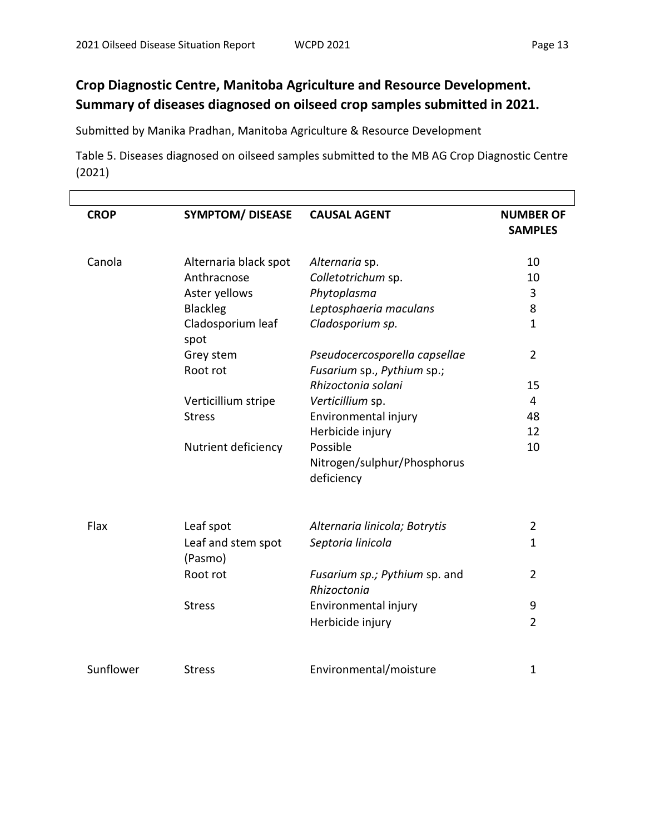# **Crop Diagnostic Centre, Manitoba Agriculture and Resource Development. Summary of diseases diagnosed on oilseed crop samples submitted in 2021.**

Submitted by Manika Pradhan, Manitoba Agriculture & Resource Development

Table 5. Diseases diagnosed on oilseed samples submitted to the MB AG Crop Diagnostic Centre (2021)

| <b>CROP</b> | <b>SYMPTOM/ DISEASE</b>       | <b>CAUSAL AGENT</b>                                         | <b>NUMBER OF</b><br><b>SAMPLES</b> |
|-------------|-------------------------------|-------------------------------------------------------------|------------------------------------|
| Canola      | Alternaria black spot         | Alternaria sp.                                              | 10                                 |
|             | Anthracnose                   | Colletotrichum sp.                                          | 10                                 |
|             | Aster yellows                 | Phytoplasma                                                 | 3                                  |
|             | Blackleg                      | Leptosphaeria maculans                                      | 8                                  |
|             | Cladosporium leaf<br>spot     | Cladosporium sp.                                            | $\mathbf{1}$                       |
|             | Grey stem<br>Root rot         | Pseudocercosporella capsellae<br>Fusarium sp., Pythium sp.; | $\overline{2}$                     |
|             |                               | Rhizoctonia solani                                          | 15                                 |
|             | Verticillium stripe           | Verticillium sp.                                            | 4                                  |
|             | <b>Stress</b>                 | Environmental injury                                        | 48                                 |
|             |                               | Herbicide injury                                            | 12                                 |
|             | Nutrient deficiency           | Possible<br>Nitrogen/sulphur/Phosphorus<br>deficiency       | 10                                 |
| Flax        | Leaf spot                     | Alternaria linicola; Botrytis                               | $\overline{2}$                     |
|             | Leaf and stem spot<br>(Pasmo) | Septoria linicola                                           | $\mathbf{1}$                       |
|             | Root rot                      | Fusarium sp.; Pythium sp. and<br>Rhizoctonia                | 2                                  |
|             | <b>Stress</b>                 | Environmental injury                                        | 9                                  |
|             |                               |                                                             | $\overline{2}$                     |
|             |                               | Herbicide injury                                            |                                    |
| Sunflower   | <b>Stress</b>                 | Environmental/moisture                                      | 1                                  |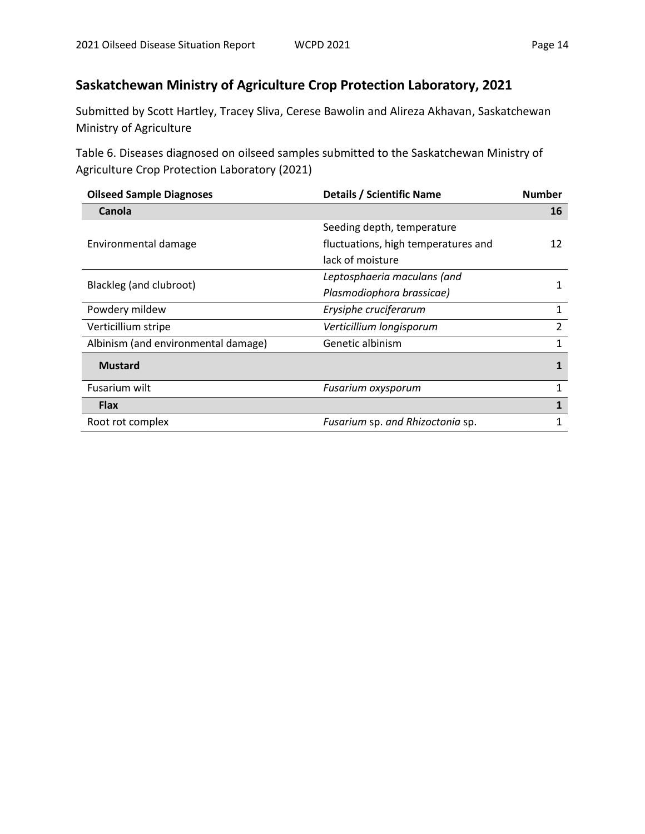# **Saskatchewan Ministry of Agriculture Crop Protection Laboratory, 2021**

Submitted by Scott Hartley, Tracey Sliva, Cerese Bawolin and Alireza Akhavan, Saskatchewan Ministry of Agriculture

Table 6. Diseases diagnosed on oilseed samples submitted to the Saskatchewan Ministry of Agriculture Crop Protection Laboratory (2021)

| <b>Oilseed Sample Diagnoses</b>     | <b>Details / Scientific Name</b>    | <b>Number</b> |  |  |
|-------------------------------------|-------------------------------------|---------------|--|--|
| Canola                              |                                     | 16            |  |  |
|                                     | Seeding depth, temperature          |               |  |  |
| Environmental damage                | fluctuations, high temperatures and |               |  |  |
|                                     | lack of moisture                    |               |  |  |
|                                     | Leptosphaeria maculans (and         | 1             |  |  |
| Blackleg (and clubroot)             | Plasmodiophora brassicae)           |               |  |  |
| Powdery mildew                      | Erysiphe cruciferarum               | 1             |  |  |
| Verticillium stripe                 | Verticillium longisporum            | 2             |  |  |
| Albinism (and environmental damage) | Genetic albinism                    | 1             |  |  |
| <b>Mustard</b>                      |                                     | 1             |  |  |
| Fusarium wilt                       | Fusarium oxysporum                  | 1             |  |  |
| <b>Flax</b>                         |                                     | 1             |  |  |
| Root rot complex                    | Fusarium sp. and Rhizoctonia sp.    |               |  |  |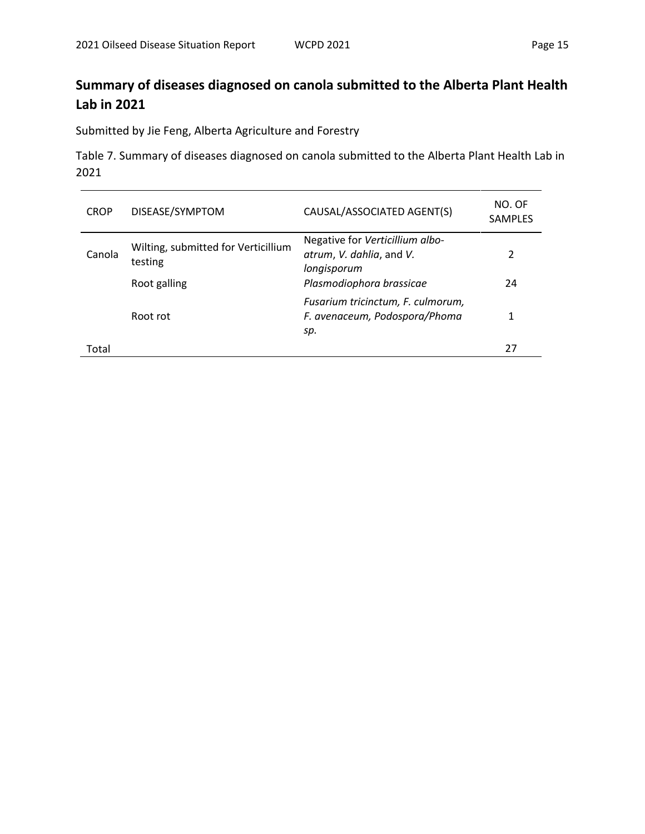# **Summary of diseases diagnosed on canola submitted to the Alberta Plant Health Lab in 2021**

Submitted by Jie Feng, Alberta Agriculture and Forestry

Table 7. Summary of diseases diagnosed on canola submitted to the Alberta Plant Health Lab in 2021

| <b>CROP</b> | DISEASE/SYMPTOM                                | CAUSAL/ASSOCIATED AGENT(S)                                                 | NO. OF<br><b>SAMPLES</b> |
|-------------|------------------------------------------------|----------------------------------------------------------------------------|--------------------------|
| Canola      | Wilting, submitted for Verticillium<br>testing | Negative for Verticillium albo-<br>atrum, V. dahlia, and V.<br>longisporum | 2                        |
|             | Root galling                                   | Plasmodiophora brassicae                                                   | 24                       |
|             | Root rot                                       | Fusarium tricinctum, F. culmorum,<br>F. avenaceum, Podospora/Phoma<br>sp.  | 1                        |
| Total       |                                                |                                                                            | 27                       |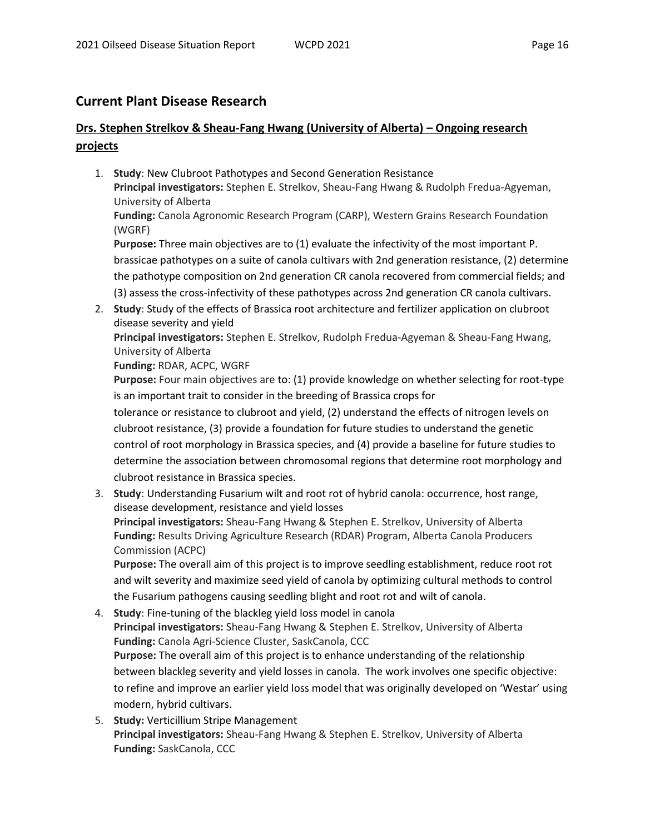### **Current Plant Disease Research**

# **Drs. Stephen Strelkov & Sheau-Fang Hwang (University of Alberta) – Ongoing research projects**

- 1. **Study**: New Clubroot Pathotypes and Second Generation Resistance **Principal investigators:** Stephen E. Strelkov, Sheau-Fang Hwang & Rudolph Fredua-Agyeman, University of Alberta **Funding:** Canola Agronomic Research Program (CARP), Western Grains Research Foundation (WGRF) **Purpose:** Three main objectives are to (1) evaluate the infectivity of the most important P. brassicae pathotypes on a suite of canola cultivars with 2nd generation resistance, (2) determine the pathotype composition on 2nd generation CR canola recovered from commercial fields; and (3) assess the cross-infectivity of these pathotypes across 2nd generation CR canola cultivars.
- 2. **Study**: Study of the effects of Brassica root architecture and fertilizer application on clubroot disease severity and yield

**Principal investigators:** Stephen E. Strelkov, Rudolph Fredua-Agyeman & Sheau-Fang Hwang, University of Alberta

**Funding:** RDAR, ACPC, WGRF

**Purpose:** Four main objectives are to: (1) provide knowledge on whether selecting for root-type is an important trait to consider in the breeding of Brassica crops for

tolerance or resistance to clubroot and yield, (2) understand the effects of nitrogen levels on clubroot resistance, (3) provide a foundation for future studies to understand the genetic control of root morphology in Brassica species, and (4) provide a baseline for future studies to determine the association between chromosomal regions that determine root morphology and clubroot resistance in Brassica species.

3. **Study**: Understanding Fusarium wilt and root rot of hybrid canola: occurrence, host range, disease development, resistance and yield losses **Principal investigators:** Sheau-Fang Hwang & Stephen E. Strelkov, University of Alberta **Funding:** Results Driving Agriculture Research (RDAR) Program, Alberta Canola Producers Commission (ACPC) **Purpose:** The overall aim of this project is to improve seedling establishment, reduce root rot

and wilt severity and maximize seed yield of canola by optimizing cultural methods to control the Fusarium pathogens causing seedling blight and root rot and wilt of canola.

- 4. **Study**: Fine-tuning of the blackleg yield loss model in canola **Principal investigators:** Sheau-Fang Hwang & Stephen E. Strelkov, University of Alberta **Funding:** Canola Agri-Science Cluster, SaskCanola, CCC **Purpose:** The overall aim of this project is to enhance understanding of the relationship between blackleg severity and yield losses in canola. The work involves one specific objective: to refine and improve an earlier yield loss model that was originally developed on 'Westar' using modern, hybrid cultivars.
- 5. **Study:** Verticillium Stripe Management **Principal investigators:** Sheau-Fang Hwang & Stephen E. Strelkov, University of Alberta **Funding:** SaskCanola, CCC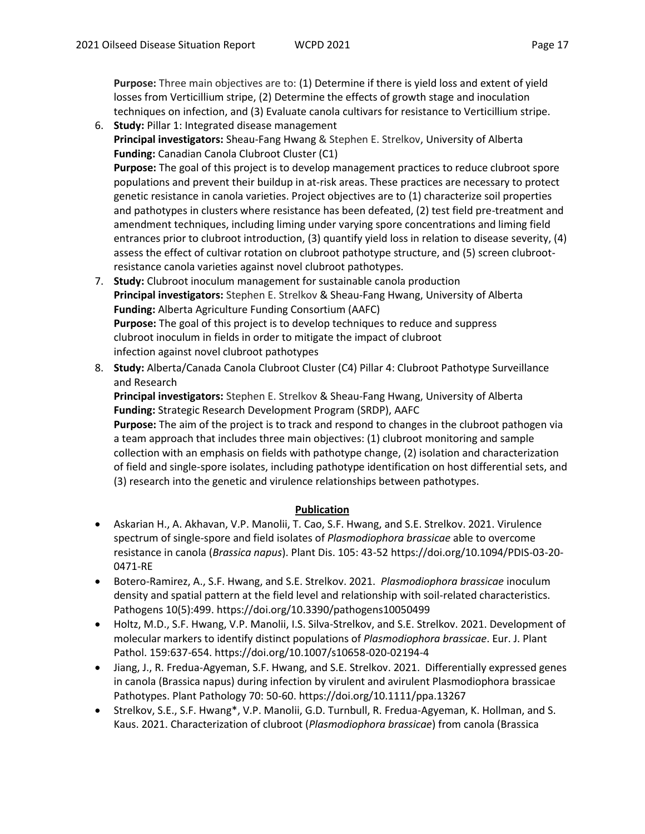**Purpose:** Three main objectives are to: (1) Determine if there is yield loss and extent of yield losses from Verticillium stripe, (2) Determine the effects of growth stage and inoculation techniques on infection, and (3) Evaluate canola cultivars for resistance to Verticillium stripe.

- 6. **Study:** Pillar 1: Integrated disease management **Principal investigators:** Sheau-Fang Hwang & Stephen E. Strelkov, University of Alberta **Funding:** Canadian Canola Clubroot Cluster (C1) **Purpose:** The goal of this project is to develop management practices to reduce clubroot spore populations and prevent their buildup in at-risk areas. These practices are necessary to protect genetic resistance in canola varieties. Project objectives are to (1) characterize soil properties and pathotypes in clusters where resistance has been defeated, (2) test field pre-treatment and amendment techniques, including liming under varying spore concentrations and liming field entrances prior to clubroot introduction, (3) quantify yield loss in relation to disease severity, (4) assess the effect of cultivar rotation on clubroot pathotype structure, and (5) screen clubrootresistance canola varieties against novel clubroot pathotypes.
- 7. **Study:** Clubroot inoculum management for sustainable canola production **Principal investigators:** Stephen E. Strelkov & Sheau-Fang Hwang, University of Alberta **Funding:** Alberta Agriculture Funding Consortium (AAFC) **Purpose:** The goal of this project is to develop techniques to reduce and suppress clubroot inoculum in fields in order to mitigate the impact of clubroot infection against novel clubroot pathotypes
- 8. **Study:** Alberta/Canada Canola Clubroot Cluster (C4) Pillar 4: Clubroot Pathotype Surveillance and Research

**Principal investigators:** Stephen E. Strelkov & Sheau-Fang Hwang, University of Alberta **Funding:** Strategic Research Development Program (SRDP), AAFC

**Purpose:** The aim of the project is to track and respond to changes in the clubroot pathogen via a team approach that includes three main objectives: (1) clubroot monitoring and sample collection with an emphasis on fields with pathotype change, (2) isolation and characterization of field and single-spore isolates, including pathotype identification on host differential sets, and (3) research into the genetic and virulence relationships between pathotypes.

#### **Publication**

- Askarian H., A. Akhavan, V.P. Manolii, T. Cao, S.F. Hwang, and S.E. Strelkov. 2021. Virulence spectrum of single-spore and field isolates of *Plasmodiophora brassicae* able to overcome resistance in canola (*Brassica napus*). Plant Dis. 105: 43-52 https://doi.org/10.1094/PDIS-03-20- 0471-RE
- Botero-Ramirez, A., S.F. Hwang, and S.E. Strelkov. 2021. *Plasmodiophora brassicae* inoculum density and spatial pattern at the field level and relationship with soil-related characteristics. Pathogens 10(5):499. https://doi.org/10.3390/pathogens10050499
- Holtz, M.D., S.F. Hwang, V.P. Manolii, I.S. Silva-Strelkov, and S.E. Strelkov. 2021. Development of molecular markers to identify distinct populations of *Plasmodiophora brassicae*. Eur. J. Plant Pathol. 159:637-654. https://doi.org/10.1007/s10658-020-02194-4
- Jiang, J., R. Fredua-Agyeman, S.F. Hwang, and S.E. Strelkov. 2021. Differentially expressed genes in canola (Brassica napus) during infection by virulent and avirulent Plasmodiophora brassicae Pathotypes. Plant Pathology 70: 50-60. https://doi.org/10.1111/ppa.13267
- Strelkov, S.E., S.F. Hwang\*, V.P. Manolii, G.D. Turnbull, R. Fredua-Agyeman, K. Hollman, and S. Kaus. 2021. Characterization of clubroot (*Plasmodiophora brassicae*) from canola (Brassica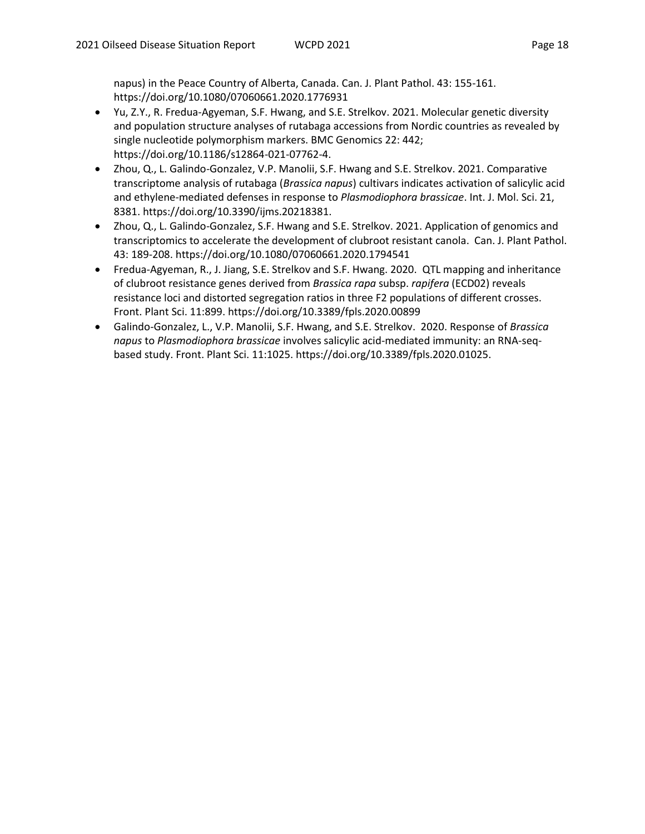napus) in the Peace Country of Alberta, Canada. Can. J. Plant Pathol. 43: 155-161. https://doi.org/10.1080/07060661.2020.1776931

- Yu, Z.Y., R. Fredua-Agyeman, S.F. Hwang, and S.E. Strelkov. 2021. Molecular genetic diversity and population structure analyses of rutabaga accessions from Nordic countries as revealed by single nucleotide polymorphism markers. BMC Genomics 22: 442; https://doi.org/10.1186/s12864-021-07762-4.
- Zhou, Q., L. Galindo-Gonzalez, V.P. Manolii, S.F. Hwang and S.E. Strelkov. 2021. Comparative transcriptome analysis of rutabaga (*Brassica napus*) cultivars indicates activation of salicylic acid and ethylene-mediated defenses in response to *Plasmodiophora brassicae*. Int. J. Mol. Sci. 21, 8381. https://doi.org/10.3390/ijms.20218381.
- Zhou, Q., L. Galindo-Gonzalez, S.F. Hwang and S.E. Strelkov. 2021. Application of genomics and transcriptomics to accelerate the development of clubroot resistant canola. Can. J. Plant Pathol. 43: 189-208. https://doi.org/10.1080/07060661.2020.1794541
- Fredua-Agyeman, R., J. Jiang, S.E. Strelkov and S.F. Hwang. 2020. QTL mapping and inheritance of clubroot resistance genes derived from *Brassica rapa* subsp. *rapifera* (ECD02) reveals resistance loci and distorted segregation ratios in three F2 populations of different crosses. Front. Plant Sci. 11:899. https://doi.org/10.3389/fpls.2020.00899
- Galindo-Gonzalez, L., V.P. Manolii, S.F. Hwang, and S.E. Strelkov. 2020. Response of *Brassica napus* to *Plasmodiophora brassicae* involves salicylic acid-mediated immunity: an RNA-seqbased study. Front. Plant Sci. 11:1025. https://doi.org/10.3389/fpls.2020.01025.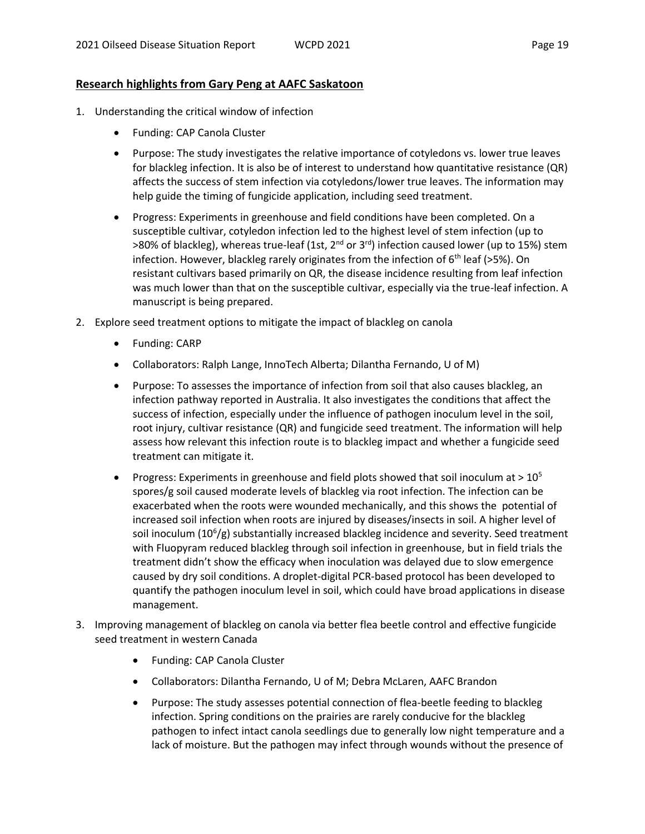#### **Research highlights from Gary Peng at AAFC Saskatoon**

- 1. Understanding the critical window of infection
	- Funding: CAP Canola Cluster
	- Purpose: The study investigates the relative importance of cotyledons vs. lower true leaves for blackleg infection. It is also be of interest to understand how quantitative resistance (QR) affects the success of stem infection via cotyledons/lower true leaves. The information may help guide the timing of fungicide application, including seed treatment.
	- Progress: Experiments in greenhouse and field conditions have been completed. On a susceptible cultivar, cotyledon infection led to the highest level of stem infection (up to >80% of blackleg), whereas true-leaf (1st,  $2^{nd}$  or  $3^{rd}$ ) infection caused lower (up to 15%) stem infection. However, blackleg rarely originates from the infection of  $6<sup>th</sup>$  leaf (>5%). On resistant cultivars based primarily on QR, the disease incidence resulting from leaf infection was much lower than that on the susceptible cultivar, especially via the true-leaf infection. A manuscript is being prepared.
- 2. Explore seed treatment options to mitigate the impact of blackleg on canola
	- Funding: CARP
	- Collaborators: Ralph Lange, InnoTech Alberta; Dilantha Fernando, U of M)
	- Purpose: To assesses the importance of infection from soil that also causes blackleg, an infection pathway reported in Australia. It also investigates the conditions that affect the success of infection, especially under the influence of pathogen inoculum level in the soil, root injury, cultivar resistance (QR) and fungicide seed treatment. The information will help assess how relevant this infection route is to blackleg impact and whether a fungicide seed treatment can mitigate it.
	- **•** Progress: Experiments in greenhouse and field plots showed that soil inoculum at  $> 10^5$ spores/g soil caused moderate levels of blackleg via root infection. The infection can be exacerbated when the roots were wounded mechanically, and this shows the potential of increased soil infection when roots are injured by diseases/insects in soil. A higher level of soil inoculum (10<sup>6</sup>/g) substantially increased blackleg incidence and severity. Seed treatment with Fluopyram reduced blackleg through soil infection in greenhouse, but in field trials the treatment didn't show the efficacy when inoculation was delayed due to slow emergence caused by dry soil conditions. A droplet-digital PCR-based protocol has been developed to quantify the pathogen inoculum level in soil, which could have broad applications in disease management.
- 3. Improving management of blackleg on canola via better flea beetle control and effective fungicide seed treatment in western Canada
	- Funding: CAP Canola Cluster
	- Collaborators: Dilantha Fernando, U of M; Debra McLaren, AAFC Brandon
	- Purpose: The study assesses potential connection of flea-beetle feeding to blackleg infection. Spring conditions on the prairies are rarely conducive for the blackleg pathogen to infect intact canola seedlings due to generally low night temperature and a lack of moisture. But the pathogen may infect through wounds without the presence of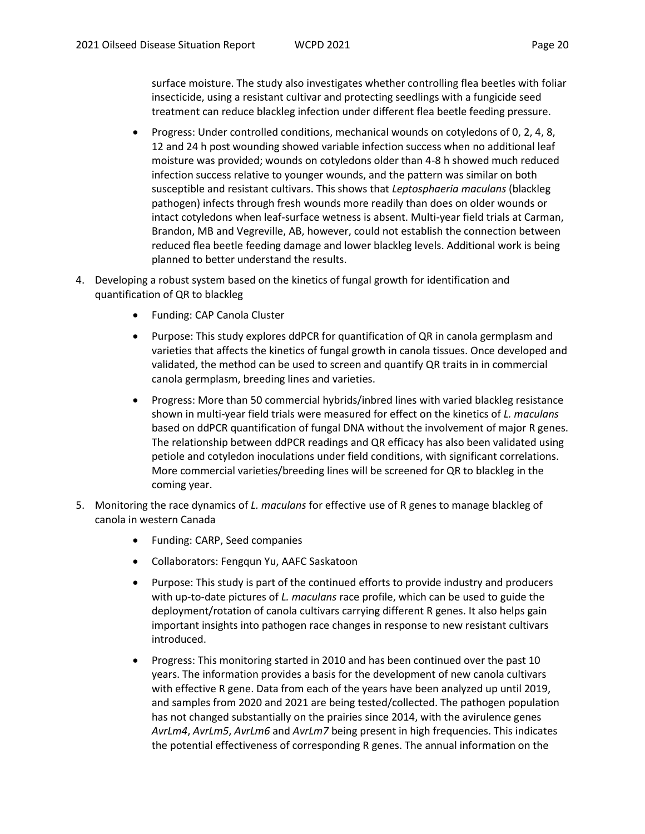surface moisture. The study also investigates whether controlling flea beetles with foliar insecticide, using a resistant cultivar and protecting seedlings with a fungicide seed treatment can reduce blackleg infection under different flea beetle feeding pressure.

- Progress: Under controlled conditions, mechanical wounds on cotyledons of 0, 2, 4, 8, 12 and 24 h post wounding showed variable infection success when no additional leaf moisture was provided; wounds on cotyledons older than 4-8 h showed much reduced infection success relative to younger wounds, and the pattern was similar on both susceptible and resistant cultivars. This shows that *Leptosphaeria maculans* (blackleg pathogen) infects through fresh wounds more readily than does on older wounds or intact cotyledons when leaf-surface wetness is absent. Multi-year field trials at Carman, Brandon, MB and Vegreville, AB, however, could not establish the connection between reduced flea beetle feeding damage and lower blackleg levels. Additional work is being planned to better understand the results.
- 4. Developing a robust system based on the kinetics of fungal growth for identification and quantification of QR to blackleg
	- Funding: CAP Canola Cluster
	- Purpose: This study explores ddPCR for quantification of QR in canola germplasm and varieties that affects the kinetics of fungal growth in canola tissues. Once developed and validated, the method can be used to screen and quantify QR traits in in commercial canola germplasm, breeding lines and varieties.
	- Progress: More than 50 commercial hybrids/inbred lines with varied blackleg resistance shown in multi-year field trials were measured for effect on the kinetics of *L. maculans* based on ddPCR quantification of fungal DNA without the involvement of major R genes. The relationship between ddPCR readings and QR efficacy has also been validated using petiole and cotyledon inoculations under field conditions, with significant correlations. More commercial varieties/breeding lines will be screened for QR to blackleg in the coming year.
- 5. Monitoring the race dynamics of *L. maculans* for effective use of R genes to manage blackleg of canola in western Canada
	- Funding: CARP, Seed companies
	- Collaborators: Fengqun Yu, AAFC Saskatoon
	- Purpose: This study is part of the continued efforts to provide industry and producers with up-to-date pictures of *L. maculans* race profile, which can be used to guide the deployment/rotation of canola cultivars carrying different R genes. It also helps gain important insights into pathogen race changes in response to new resistant cultivars introduced.
	- Progress: This monitoring started in 2010 and has been continued over the past 10 years. The information provides a basis for the development of new canola cultivars with effective R gene. Data from each of the years have been analyzed up until 2019, and samples from 2020 and 2021 are being tested/collected. The pathogen population has not changed substantially on the prairies since 2014, with the avirulence genes *AvrLm4*, *AvrLm5*, *AvrLm6* and *AvrLm7* being present in high frequencies. This indicates the potential effectiveness of corresponding R genes. The annual information on the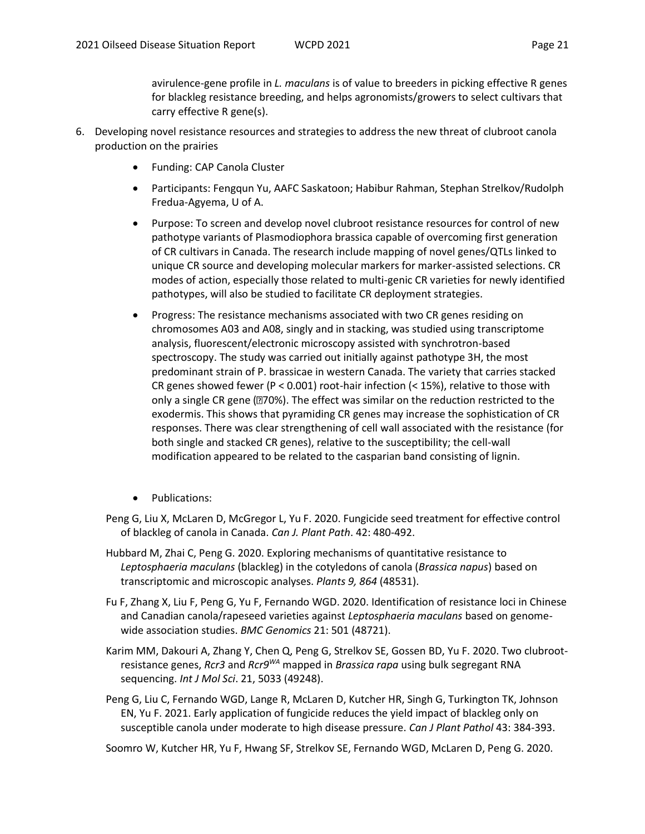avirulence-gene profile in *L. maculans* is of value to breeders in picking effective R genes for blackleg resistance breeding, and helps agronomists/growers to select cultivars that carry effective R gene(s).

- 6. Developing novel resistance resources and strategies to address the new threat of clubroot canola production on the prairies
	- Funding: CAP Canola Cluster
	- Participants: Fengqun Yu, AAFC Saskatoon; Habibur Rahman, Stephan Strelkov/Rudolph Fredua-Agyema, U of A.
	- Purpose: To screen and develop novel clubroot resistance resources for control of new pathotype variants of Plasmodiophora brassica capable of overcoming first generation of CR cultivars in Canada. The research include mapping of novel genes/QTLs linked to unique CR source and developing molecular markers for marker-assisted selections. CR modes of action, especially those related to multi-genic CR varieties for newly identified pathotypes, will also be studied to facilitate CR deployment strategies.
	- Progress: The resistance mechanisms associated with two CR genes residing on chromosomes A03 and A08, singly and in stacking, was studied using transcriptome analysis, fluorescent/electronic microscopy assisted with synchrotron-based spectroscopy. The study was carried out initially against pathotype 3H, the most predominant strain of P. brassicae in western Canada. The variety that carries stacked CR genes showed fewer (P < 0.001) root-hair infection (< 15%), relative to those with only a single CR gene ( $\text{I}70\%$ ). The effect was similar on the reduction restricted to the exodermis. This shows that pyramiding CR genes may increase the sophistication of CR responses. There was clear strengthening of cell wall associated with the resistance (for both single and stacked CR genes), relative to the susceptibility; the cell-wall modification appeared to be related to the casparian band consisting of lignin.
	- Publications:
	- Peng G, Liu X, McLaren D, McGregor L, Yu F. 2020. Fungicide seed treatment for effective control of blackleg of canola in Canada. *Can J. Plant Path*. 42: 480-492.
	- Hubbard M, Zhai C, Peng G. 2020. Exploring mechanisms of quantitative resistance to *Leptosphaeria maculans* (blackleg) in the cotyledons of canola (*Brassica napus*) based on transcriptomic and microscopic analyses. *Plants 9, 864* (48531).
	- Fu F, Zhang X, Liu F, Peng G, Yu F, Fernando WGD. 2020. Identification of resistance loci in Chinese and Canadian canola/rapeseed varieties against *Leptosphaeria maculans* based on genomewide association studies. *BMC Genomics* 21: 501 (48721).
	- Karim MM, Dakouri A, Zhang Y, Chen Q, Peng G, Strelkov SE, Gossen BD, Yu F. 2020. Two clubrootresistance genes, *Rcr3* and *Rcr9WA* mapped in *Brassica rapa* using bulk segregant RNA sequencing. *Int J Mol Sci*. 21, 5033 (49248).
	- Peng G, Liu C, Fernando WGD, Lange R, McLaren D, Kutcher HR, Singh G, Turkington TK, Johnson EN, Yu F. 2021. Early application of fungicide reduces the yield impact of blackleg only on susceptible canola under moderate to high disease pressure. *Can J Plant Pathol* 43: 384-393.
	- Soomro W, Kutcher HR, Yu F, Hwang SF, Strelkov SE, Fernando WGD, McLaren D, Peng G. 2020.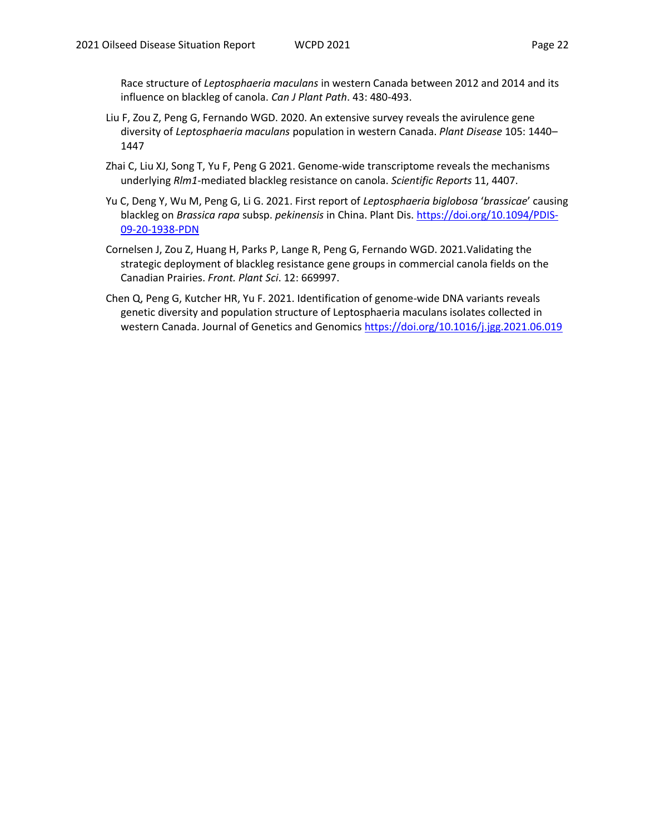Race structure of *Leptosphaeria maculans* in western Canada between 2012 and 2014 and its influence on blackleg of canola. *Can J Plant Path*. 43: 480-493.

- Liu F, Zou Z, Peng G, Fernando WGD. 2020. An extensive survey reveals the avirulence gene diversity of *Leptosphaeria maculans* population in western Canada. *Plant Disease* 105: 1440– 1447
- Zhai C, Liu XJ, Song T, Yu F, Peng G 2021. Genome-wide transcriptome reveals the mechanisms underlying *Rlm1*-mediated blackleg resistance on canola. *Scientific Reports* 11, 4407.
- Yu C, Deng Y, Wu M, Peng G, Li G. 2021. First report of *Leptosphaeria biglobosa* '*brassicae*' causing blackleg on *Brassica rapa* subsp. *pekinensis* in China. Plant Dis[. https://doi.org/10.1094/PDIS-](https://doi.org/10.1094/PDIS-09-20-1938-PDN)[09-20-1938-PDN](https://doi.org/10.1094/PDIS-09-20-1938-PDN)
- Cornelsen J, Zou Z, Huang H, Parks P, Lange R, Peng G, Fernando WGD. 2021.Validating the strategic deployment of blackleg resistance gene groups in commercial canola fields on the Canadian Prairies. *Front. Plant Sci*. 12: 669997.
- Chen Q, Peng G, Kutcher HR, Yu F. 2021. Identification of genome-wide DNA variants reveals genetic diversity and population structure of Leptosphaeria maculans isolates collected in western Canada. Journal of Genetics and Genomics<https://doi.org/10.1016/j.jgg.2021.06.019>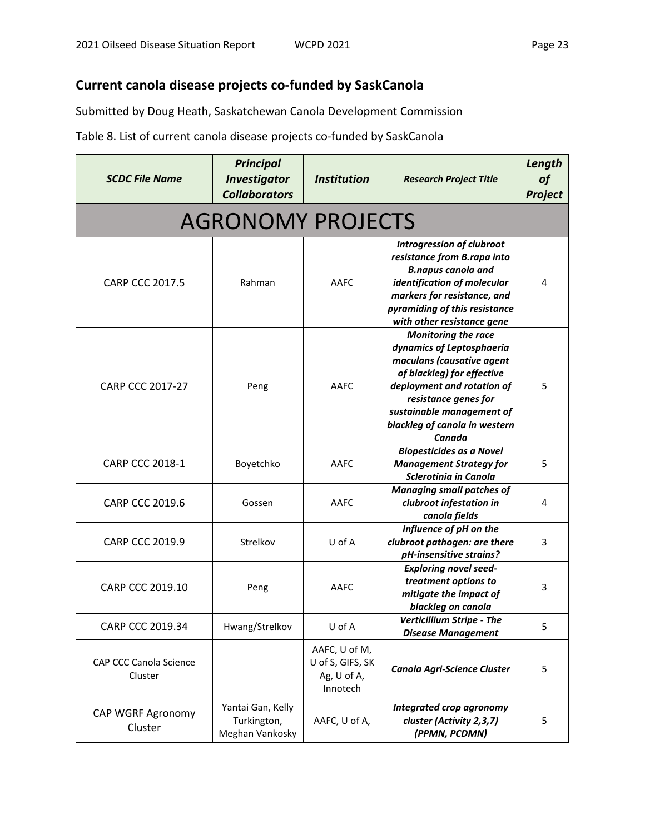# **Current canola disease projects co-funded by SaskCanola**

Submitted by Doug Heath, Saskatchewan Canola Development Commission

Table 8. List of current canola disease projects co-funded by SaskCanola

| <b>SCDC File Name</b>             | <b>Principal</b><br><b>Investigator</b><br><b>Collaborators</b> | <b>Institution</b>                                           | <b>Research Project Title</b>                                                                                                                                                                                                                    | Length<br>of<br>Project |
|-----------------------------------|-----------------------------------------------------------------|--------------------------------------------------------------|--------------------------------------------------------------------------------------------------------------------------------------------------------------------------------------------------------------------------------------------------|-------------------------|
|                                   | <b>AGRONOMY PROJECTS</b>                                        |                                                              |                                                                                                                                                                                                                                                  |                         |
| <b>CARP CCC 2017.5</b>            | Rahman                                                          | AAFC                                                         | <b>Introgression of clubroot</b><br>resistance from B.rapa into<br><b>B.napus canola and</b><br>identification of molecular<br>markers for resistance, and<br>pyramiding of this resistance<br>with other resistance gene                        | 4                       |
| <b>CARP CCC 2017-27</b>           | Peng                                                            | AAFC                                                         | <b>Monitoring the race</b><br>dynamics of Leptosphaeria<br>maculans (causative agent<br>of blackleg) for effective<br>deployment and rotation of<br>resistance genes for<br>sustainable management of<br>blackleg of canola in western<br>Canada | 5                       |
| <b>CARP CCC 2018-1</b>            | Boyetchko                                                       | AAFC                                                         | <b>Biopesticides as a Novel</b><br><b>Management Strategy for</b><br>Sclerotinia in Canola                                                                                                                                                       | 5                       |
| <b>CARP CCC 2019.6</b>            | Gossen                                                          | AAFC                                                         | <b>Managing small patches of</b><br>clubroot infestation in<br>canola fields                                                                                                                                                                     | 4                       |
| <b>CARP CCC 2019.9</b>            | Strelkov                                                        | U of A                                                       | Influence of pH on the<br>clubroot pathogen: are there<br>pH-insensitive strains?                                                                                                                                                                | 3                       |
| <b>CARP CCC 2019.10</b>           | Peng                                                            | AAFC                                                         | <b>Exploring novel seed-</b><br>treatment options to<br>mitigate the impact of<br>blackleg on canola                                                                                                                                             | 3                       |
| CARP CCC 2019.34                  | Hwang/Strelkov                                                  | U of A                                                       | Verticillium Stripe - The<br><b>Disease Management</b>                                                                                                                                                                                           | 5                       |
| CAP CCC Canola Science<br>Cluster |                                                                 | AAFC, U of M,<br>U of S, GIFS, SK<br>Ag, U of A,<br>Innotech | Canola Agri-Science Cluster                                                                                                                                                                                                                      | 5                       |
| CAP WGRF Agronomy<br>Cluster      | Yantai Gan, Kelly<br>Turkington,<br>Meghan Vankosky             | AAFC, U of A,                                                | Integrated crop agronomy<br>cluster (Activity 2,3,7)<br>(PPMN, PCDMN)                                                                                                                                                                            | 5                       |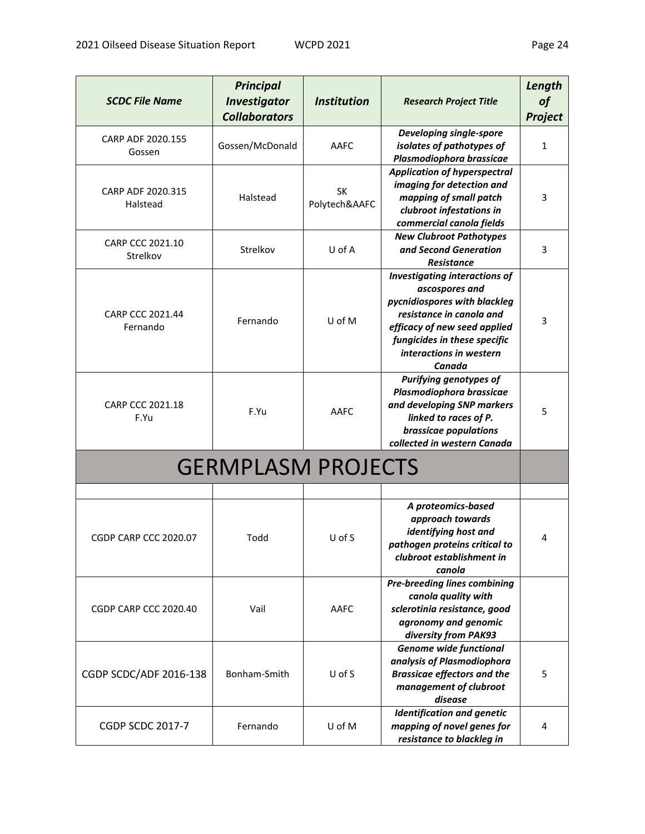| <b>SCDC File Name</b>         | <b>Principal</b><br><b>Investigator</b><br><b>Collaborators</b> | <b>Institution</b>  | <b>Research Project Title</b>                                                                                                                                                                                           | Length<br><b>of</b><br>Project |
|-------------------------------|-----------------------------------------------------------------|---------------------|-------------------------------------------------------------------------------------------------------------------------------------------------------------------------------------------------------------------------|--------------------------------|
| CARP ADF 2020.155<br>Gossen   | Gossen/McDonald                                                 | AAFC                | <b>Developing single-spore</b><br>isolates of pathotypes of<br>Plasmodiophora brassicae                                                                                                                                 | $\mathbf{1}$                   |
| CARP ADF 2020.315<br>Halstead | Halstead                                                        | SK<br>Polytech&AAFC | <b>Application of hyperspectral</b><br>imaging for detection and<br>mapping of small patch<br>clubroot infestations in<br>commercial canola fields                                                                      | 3                              |
| CARP CCC 2021.10<br>Strelkov  | Strelkov                                                        | U of A              | <b>New Clubroot Pathotypes</b><br>and Second Generation<br>Resistance                                                                                                                                                   | 3                              |
| CARP CCC 2021.44<br>Fernando  | Fernando                                                        | U of M              | <b>Investigating interactions of</b><br>ascospores and<br>pycnidiospores with blackleg<br>resistance in canola and<br>efficacy of new seed applied<br>fungicides in these specific<br>interactions in western<br>Canada | 3                              |
| CARP CCC 2021.18<br>F.Yu      | F.Yu                                                            | AAFC                | Purifying genotypes of<br>Plasmodiophora brassicae<br>and developing SNP markers<br>linked to races of P.<br>brassicae populations<br>collected in western Canada                                                       | 5                              |
|                               | <b>GERMPLASM PROJECTS</b>                                       |                     |                                                                                                                                                                                                                         |                                |
|                               |                                                                 |                     | A proteomics-based<br>approach towards<br>identifying host and                                                                                                                                                          |                                |
| <b>CGDP CARP CCC 2020.07</b>  | Todd                                                            | $U$ of S            | pathogen proteins critical to<br>clubroot establishment in<br>canola                                                                                                                                                    | 4                              |
| CGDP CARP CCC 2020.40         | Vail                                                            | AAFC                | <b>Pre-breeding lines combining</b><br>canola quality with<br>sclerotinia resistance, good<br>agronomy and genomic<br>diversity from PAK93                                                                              |                                |
| CGDP SCDC/ADF 2016-138        | Bonham-Smith                                                    | U of S              | <b>Genome wide functional</b><br>analysis of Plasmodiophora<br><b>Brassicae effectors and the</b><br>management of clubroot<br>disease                                                                                  | 5                              |
| <b>CGDP SCDC 2017-7</b>       | Fernando                                                        | U of M              | <b>Identification and genetic</b><br>mapping of novel genes for<br>resistance to blackleg in                                                                                                                            | 4                              |